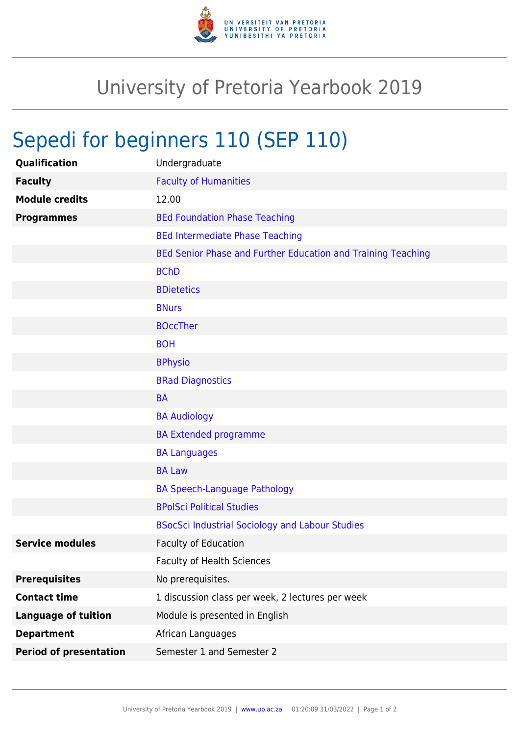

## University of Pretoria Yearbook 2019

## Sepedi for beginners 110 (SEP 110)

| Qualification                 | Undergraduate                                                |
|-------------------------------|--------------------------------------------------------------|
| <b>Faculty</b>                | <b>Faculty of Humanities</b>                                 |
| <b>Module credits</b>         | 12.00                                                        |
| <b>Programmes</b>             | <b>BEd Foundation Phase Teaching</b>                         |
|                               | <b>BEd Intermediate Phase Teaching</b>                       |
|                               | BEd Senior Phase and Further Education and Training Teaching |
|                               | <b>BChD</b>                                                  |
|                               | <b>BDietetics</b>                                            |
|                               | <b>BNurs</b>                                                 |
|                               | <b>BOccTher</b>                                              |
|                               | <b>BOH</b>                                                   |
|                               | <b>BPhysio</b>                                               |
|                               | <b>BRad Diagnostics</b>                                      |
|                               | <b>BA</b>                                                    |
|                               | <b>BA Audiology</b>                                          |
|                               | <b>BA Extended programme</b>                                 |
|                               | <b>BA Languages</b>                                          |
|                               | <b>BA Law</b>                                                |
|                               | <b>BA Speech-Language Pathology</b>                          |
|                               | <b>BPolSci Political Studies</b>                             |
|                               | <b>BSocSci Industrial Sociology and Labour Studies</b>       |
| <b>Service modules</b>        | <b>Faculty of Education</b>                                  |
|                               | <b>Faculty of Health Sciences</b>                            |
| <b>Prerequisites</b>          | No prerequisites.                                            |
| <b>Contact time</b>           | 1 discussion class per week, 2 lectures per week             |
| <b>Language of tuition</b>    | Module is presented in English                               |
| <b>Department</b>             | African Languages                                            |
| <b>Period of presentation</b> | Semester 1 and Semester 2                                    |
|                               |                                                              |